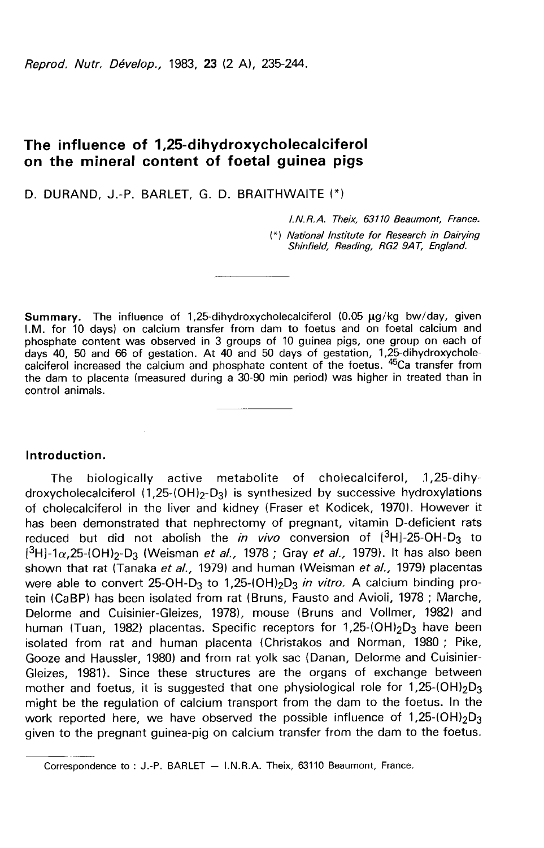Reprod. Nutr. Dévelop., 1983, 23 (2 A), 235-244.

# The influence of 1,25-dihydroxycholecalciferol on the mineral content of foetal guinea pigs

D. DURAND, J.-P. BARLET, G. D. BRAITHWAITE (\*)

l.N.R.A. Theix, 63110 Beaumont, France.

(\*) National Institute for Research in Dairying<br>Shinfield, Reading, RG2 9AT, England.

Summary. The influence of 1,25-dihydroxycholecalciferol (0.05 µg/kg bw/day, given LM. for 10 days) on calcium transfer from dam to foetus and on foetal calcium and phosphate content was observed in 3 groups of 10 guinea pigs, one group on each of days 40, 50 and 66 of gestation. At 40 and 50 days of gestation, 1,25-dihydroxycholecalciferol increased the calcium and phosphate content of the foetus. <sup>45</sup>Ca transfer from the dam to placenta (measured during a 30-90 min period) was higher in treated than in control animals.

# Introduction.

The biologically active metabolite of cholecalciferol, 1,25-dihydroxycholecalciferol  $(1,25-(OH)_2-D_3)$  is synthesized by successive hydroxylations of cholecalciferol in the liver and kidney (Fraser et Kodicek, 1970). However it has been demonstrated that nephrectomy of pregnant, vitamin D-deficient rats **Introduction.**<br>The biologically active metabolite of cholecalciferol, 1,25-dihy-<br>droxycholecalciferol (1,25-(OH)<sub>2</sub>-D<sub>3</sub>) is synthesized by successive hydroxylations<br>of cholecalciferol in the liver and kidney (Fraser et [<sup>3</sup>H]-1 $\alpha$ ,25-(OH) $_2$ -D $_3$  (Weisman *et al.,* 1978 ; Gray *et al.,* 1979). It has also been shown that rat (Tanaka et al., 1979) and human (Weisman et al., 1979) placentas<br>were able to convert 25-OH-D<sub>3</sub> to 1,25-(OH)<sub>2</sub>D<sub>3</sub> in vitro. A calcium binding prodioxychoecalcherof (1,25-(OH)<sub>2</sub>-D<sub>3</sub>) is synthesized by successive hydroxylations<br>of cholecalciferol in the liver and kidney (Fraser et Kodicek, 1970). However it<br>has been demonstrated that nephrectomy of pregnant, vitam tein (CaBP) has been isolated from rat (Bruns, Fausto and Avioli, 1978 ; Marche, Delorme and Cuisinier-Gleizes, 1978), mouse (Bruns and Vollmer, 1982) and<br>human (Tuan, 1982) placentas. Specific receptors for 1,25-(OH)<sub>2</sub>D<sub>3</sub> have been hequiced but did not abolism the *in vivo* conversion of  $[\uparrow \uparrow \uparrow \uparrow -25$ -OH-D<sub>3</sub> to  $[\uparrow \uparrow \uparrow \uparrow \uparrow -25$ -OH-D<sub>3</sub> to  $[\uparrow \uparrow \uparrow \uparrow \uparrow -25$ -OH-D<sub>3</sub> to  $[\uparrow \uparrow \uparrow \uparrow \uparrow -25$ -OH-D<sub>3</sub> to  $[\uparrow \uparrow \uparrow \uparrow \uparrow -25$ -OH-D<sub>3</sub> b and huma isolated from rat and human placenta (Christakos and Norman, 1980 ; Pike, Gooze and Haussler, 1980) and from rat yolk sac (Danan, Delorme and Cuisinier-Gleizes, 1981). Since these structures are the organs of exchange between mother and foetus, it is suggested that one physiological role for might be the regulation of calcium transport from the dam to the foetus. In the  $\frac{1}{2}$ , 1982) and<br>  $\frac{1}{2}$  have been<br>  $\frac{1980}{2}$ ; Pike,<br>  $\frac{1}{2}$  Cuisinier-<br>  $\frac{1}{2}$ ,  $\frac{25}{2}$ ,  $\frac{(OH)_2D_3}{2}$ <br>  $\frac{1}{2}$   $\frac{25}{2}$ ,  $\frac{(OH)_2D_3}{2}$ work reported here, we have observed the possible influence of From the dam to the pregnant guinea-pig on calcium transfer from the dam to the foetus.<br>
Gooze and Haussler, 1980) and from rat yolk sac (Danan, Delorme and Cuisinier-<br>
Gleizes, 1981). Since these structures are the organ

Correspondence to : J.-P. BARLET ― I.N.R.A. Theix, 63110 Beaumont, France.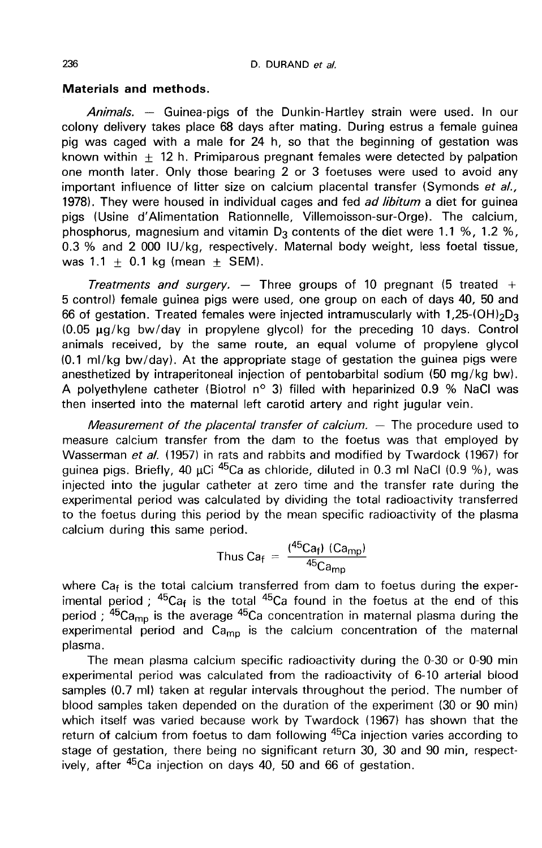# Materials and methods.

Animals. — Guinea-pigs of the Dunkin-Hartley strain were used. In our colony delivery takes place 68 days after mating. During estrus a female guinea pig was caged with a male for 24 h, so that the beginning of gestation was known within  $\pm$  12 h. Primiparous pregnant females were detected by palpation one month later. Only those bearing 2 or 3 foetuses were used to avoid any important influence of litter size on calcium placental transfer (Symonds et al., 1978). They were housed in individual cages and fed *ad libitum* a diet for guinea pigs (Usine d'Alimentation Rationnelle, Villemoisson-sur-Orge). The calcium, phosphorus, magnesium and vitamin  $D_3$  contents of the diet were 1.1 %, 1.2 %, 0.3 % and 2 000 IU/kg, respectively. Maternal body weight, less foetal tissue, was  $1.1 + 0.1$  kg (mean + SEM).

Treatments and surgery. — Three groups of 10 pregnant (5 treated  $+$ 5 control) female guinea pigs were used, one group on each of days 40, 50 and 66 of gestation. Treated females were injected intramuscularly with (0.05 pg/kg bw/day in propylene glycol) for the preceding 10 days. Control  $1, 2, 6$ , 1.2%,<br>foetal tissue,<br>5 treated +<br>rs 40, 50 and<br>1,25-(OH)<sub>2</sub>D<sub>3</sub><br>lays. Control<br>wlene glycol animals received, by the same route, an equal volume of propylene glycol (0.1 ml/kg bw/day). At the appropriate stage of gestation the guinea pigs were anesthetized by intraperitoneal injection of pentobarbital sodium (50 mg/kg bwl. A polyethylene catheter (Biotrol n° 3) filled with heparinized 0.9 % NaCI was then inserted into the maternal left carotid artery and right jugular vein.

Measurement of the placental transfer of calcium.  $-$  The procedure used to measure calcium transfer from the dam to the foetus was that employed by Wasserman et a/. (1957) in rats and rabbits and modified by Twardock (1967) for guinea pigs. Briefly, 40  $\mu$ Ci <sup>45</sup>Ca as chloride, diluted in 0.3 ml NaCl (0.9 %), was injected into the jugular catheter at zero time and the transfer rate during the experimental period was calculated by dividing the total radioactivity transferred to the foetus during this period by the mean specific radioactivity of the plasma calcium during this same period.

Thus Ca<sub>f</sub> = 
$$
\frac{\text{(45Caf) (Camp)}}{\text{(45Camp)}}
$$

where  $Ca<sub>f</sub>$  is the total calcium transferred from dam to foetus during the experwhere Ca<sub>f</sub> is the total calcium transferred from dam to foetus during the experimental period ;  ${}^{45}Ca_{\text{f}}$  is the total  ${}^{45}Ca$  found in the foetus at the end of this period ;  ${}^{45}Ca_{\text{mp}}$  is the average  ${}^{45}Ca$  experimental period and  $Ca<sub>mn</sub>$  is the calcium concentration of the maternal plasma.

The mean plasma calcium specific radioactivity during the 0-30 or 0-90 min experimental period was calculated from the radioactivity of 6-10 arterial blood samples (0.7 ml) taken at regular intervals throughout the period. The number of blood samples taken depended on the duration of the experiment (30 or 90 min) which itself was varied because work by Twardock (1967) has shown that the return of calcium from foetus to dam following <sup>45</sup>Ca injection varies according to stage of gestation, there being no significant return 30, 30 and 90 min, respectively, after  $45$ Ca injection on days 40, 50 and 66 of gestation.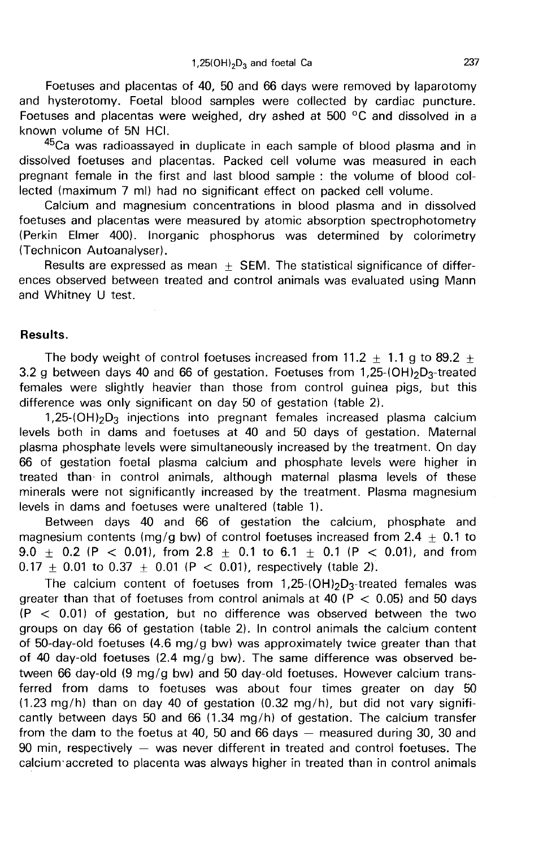Foetuses and placentas of 40, 50 and 66 days were removed by laparotomy and hysterotomy. Foetal blood samples were collected by cardiac puncture. Foetuses and placentas were weighed, dry ashed at 500 °C and dissolved in a known volume of 5N HCI.

45Ca was radioassayed in duplicate in each sample of blood plasma and in dissolved foetuses and placentas. Packed cell volume was measured in each pregnant female in the first and last blood sample : the volume of blood collected (maximum 7 ml) had no significant effect on packed cell volume.

Calcium and magnesium concentrations in blood plasma and in dissolved foetuses and placentas were measured by atomic absorption spectrophotometry (Perkin Elmer 400). Inorganic phosphorus was determined by colorimetry (Technicon Autoanalyser).

Results are expressed as mean  $+$  SEM. The statistical significance of differences observed between treated and control animals was evaluated using Mann and Whitney U test.

### Results.

The body weight of control foetuses increased from 11.2  $+$  1.1 g to 89.2  $+$ (Perkin Elmer 400). Inorganic phosphorus was determined by colorimetry<br>
(Technicon Autoanalyser).<br>
Results are expressed as mean  $\pm$  SEM. The statistical significance of differ-<br>
ences observed between treated and contro females were slightly heavier than those from control guinea pigs, but this difference was only significant on day 50 of gestation (table 2).<br>1,25-(OH)<sub>2</sub>D<sub>3</sub> injections into pregnant females increased plasma calcium 3.2 g between days 40 and 66 of gestation. Foetuses from  $1,25-(OH)<sub>2</sub>D<sub>3</sub>$ -treated

levels both in dams and foetuses at 40 and 50 days of gestation. Maternal plasma phosphate levels were simultaneously increased by the treatment. On day 66 of gestation foetal plasma calcium and phosphate levels were higher in treated than in control animals, although maternal plasma levels of these minerals were not significantly increased by the treatment. Plasma magnesium levels in dams and foetuses were unaltered (table 1). ma phosphate levels were simultaneously increased by the treatment. On day<br>of gestation foetal plasma calcium and phosphate levels were higher in<br>ed than in control animals, although maternal plasma levels of these<br>rals w

Between days 40 and 66 of gestation the calcium, phosphate and magnesium contents (mg/g bw) of control foetuses increased from 2.4  $\pm$  0.1 to 9.0  $\pm$  0.2 (P < 0.01), from 2.8  $\pm$  0.1 to 6.1  $\pm$  0.1 (P < 0.01), and from  $0.17 \pm 0.01$  to  $0.37 \pm 0.01$  (P < 0.01), respectively (table 2).

greater than that of foetuses from control animals at  $40$  (P < 0.05) and 50 days  $(P < 0.01)$  of gestation, but no difference was observed between the two groups on day 66 of gestation (table 2). In control animals the calcium content of 50-day-old foetuses (4.6 mg/g bw) was approximately twice greater than that of 40 day-old foetuses (2.4 mg/g bw). The same difference was observed between 66 day-old (9 mg/g bw) and 50 day-old foetuses. However calcium transferred from dams to foetuses was about four times greater on day 50  $(1.23 \text{ mg/h})$  than on day 40 of gestation  $(0.32 \text{ mg/h})$ , but did not vary significantly between days 50 and 66 (1.34 mg/h) of gestation. The calcium transfer from the dam to the foetus at 40, 50 and 66 days ― measured during 30, 30 and 90 min, respectively ― was never different in treated and control foetuses. The calcium accreted to placenta was always higher in treated than in control animals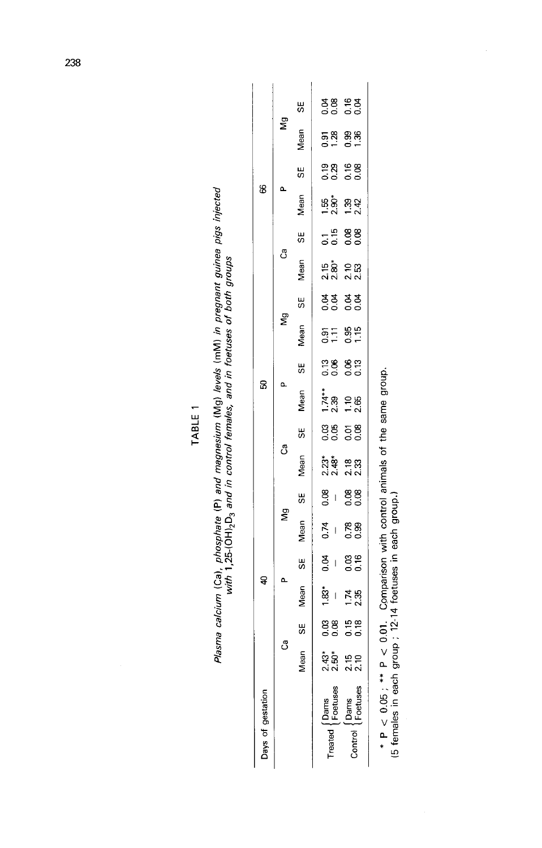|                   |    | 59    | ತ್ತಿ ಆತ್ಮ<br>ಇಂ ಇಂ                     |                          |  |
|-------------------|----|-------|----------------------------------------|--------------------------|--|
|                   | Σã | Mean  | 58 88<br>0 - 0 -                       |                          |  |
|                   |    | မှု   | <b>೨</b> ೩ ಅ<br>೧೦ ರ                   |                          |  |
| 8                 | Δ  | Mean  | ងខ្ញុំ នង<br>ក្នុង ក្នុង               |                          |  |
|                   |    |       |                                        |                          |  |
|                   | ඊ  | 55    | 는 편 888<br>- 는 영 88                    |                          |  |
|                   |    | Mean  | ភេទ 5<br>ភេទ ក្នុង                     |                          |  |
|                   |    | 55    | ತ್ತಿತ್ತೆ<br>ಇಂ ಇಂ                      |                          |  |
|                   | Σã | Mean  | 일<br>일 - 일 - 일                         |                          |  |
|                   |    | 55    | ុ<br>ដូន និដ្ឋ                         |                          |  |
| S,                | ۵  | Mean  | **<br>2.33<br>2.55                     |                          |  |
|                   |    | 55    | 88 58<br>00 00                         |                          |  |
|                   | ී  | Mean  | ភ្នំ<br>សូម៉ូ ខេន<br>សូម៉ូ សូម៉ូ       |                          |  |
|                   |    | 55    | $\frac{8}{5}$   $\frac{88}{55}$        |                          |  |
|                   | ΣÅ | Vlean | 0.74                                   |                          |  |
|                   |    | 55    | $\frac{3}{5}$ ।                        | 0.08                     |  |
| ੩                 |    | Mean  | ໍ່ 8<br>__                             | $\frac{74}{2.35}$        |  |
|                   |    | 55    | 88 58<br>88 58                         |                          |  |
|                   | ී  | Vlean | មុំ<br>ប្អូ                            | 2.10<br>2.10             |  |
| Days of gestation |    |       | Treated <b>Dams</b><br><b>Foetuses</b> | Control Dams<br>Foetuses |  |

| it the same group.              |                        |
|---------------------------------|------------------------|
| th control animals              |                        |
|                                 | tunan in anah araun    |
|                                 |                        |
| - FUC / C ** - LU <<br>$\vdots$ | in each group 12-14 is |
|                                 | Ļ                      |

TABLE 1

Plasma calcium (Ca), phosphate (P) and magnesium (Mg) levels (mM) in pregnant guinea pigs injected<br>with 1,25-(OH)<sub>2</sub>D<sub>3</sub> and in control females, and in foetuses of both groups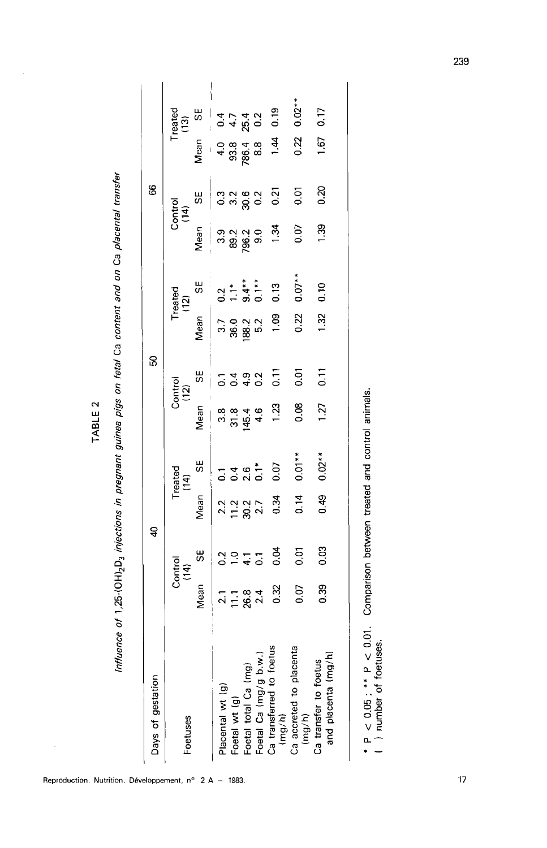TABLE 2

Influence of 1,25-(OH)<sub>2</sub>D<sub>3</sub> injections in pregnant guinea pigs on fetal Ca content and on Ca placental transfer

| Days of gestation                            |                                  | Ş               |                                                        |                 |                                            | ន                       |                           |                                                          |                                                          | 8               |                            |                                                                       |
|----------------------------------------------|----------------------------------|-----------------|--------------------------------------------------------|-----------------|--------------------------------------------|-------------------------|---------------------------|----------------------------------------------------------|----------------------------------------------------------|-----------------|----------------------------|-----------------------------------------------------------------------|
| Foetuses                                     |                                  | Control<br>(14) |                                                        | Treated<br>(14) |                                            | Control<br>(12)         |                           | Treated<br>(12)                                          |                                                          | Control<br>(14) |                            | Treated<br>(13)                                                       |
|                                              | Mean                             | SS<br>SS        | Mean                                                   | SE<br>SE        | Mean<br>SE                                 |                         | Mean SE                   |                                                          | Mean<br>$\begin{array}{ c c } \hline \hline \end{array}$ | 9               | Mean                       | $\frac{35}{10}$                                                       |
| Placental wt (g)                             |                                  |                 |                                                        |                 |                                            |                         |                           |                                                          |                                                          |                 | း ၁ အ ၁ အ<br>၂ ၁ အ ၁ အ ၁ အ |                                                                       |
| -oetal wt (g)                                |                                  |                 |                                                        |                 |                                            |                         |                           |                                                          |                                                          |                 |                            |                                                                       |
| Foetal total Ca (mg)                         |                                  | 39.75           |                                                        |                 |                                            | 0<br>0 0 4 0<br>0 9 4 0 | 3.0<br>3.00 20<br>3.00 10 |                                                          |                                                          |                 |                            |                                                                       |
| Foetal Ca (mg/g b.w.                         |                                  |                 |                                                        |                 |                                            |                         |                           |                                                          |                                                          |                 |                            |                                                                       |
| s<br>Ca transferred to foett<br>(mg/h)       | $211$<br>$283$<br>$24$<br>$0.32$ | δ.<br>Ο         | $222$<br>$123$<br>$27$<br>$21$<br>$23$<br>$21$<br>$23$ | 0.07            | 88 88 4 6 23<br>8 5 4 4 5 23<br>8 5 4 6 23 | $\overline{1}$          | 1.09                      | $0.2$<br>$-1.1$<br>$-3.4$<br>$-1.1$<br>$-1.3$<br>$-0.13$ | 99200<br>99300 1<br>9980 1                               |                 | $\frac{1}{4}$              | $\begin{array}{c} 14 \\ 04 \\ 74 \\ 80 \\ 0 \\ 0 \\ 0 \\ \end{array}$ |
| Ca accreted to placenta<br>(mg/h)            | 0.07                             | $\overline{0}$  | 0.14                                                   | $0.01***$       | 0.08                                       | 0.01                    | 0.22                      | $0.07**$                                                 | 0.07                                                     | 0.01            |                            | $0.22$ $0.02**$                                                       |
| and placenta (mg/h)<br>Ca transfer to foetus | 0.39                             | $\frac{3}{2}$   | 0.49                                                   | $0.02***$       | $\overline{27}$                            | r<br>G                  | $\frac{32}{5}$            | $\frac{10}{2}$                                           | $\frac{39}{2}$                                           | 0.20            | 1.67                       | 0.17                                                                  |
|                                              |                                  |                 |                                                        |                 |                                            |                         |                           |                                                          |                                                          |                 |                            |                                                                       |

\* P < 0.05 ; \*\* P < 0.01. Comparison between treated and control animals. ( ) number of foetuses.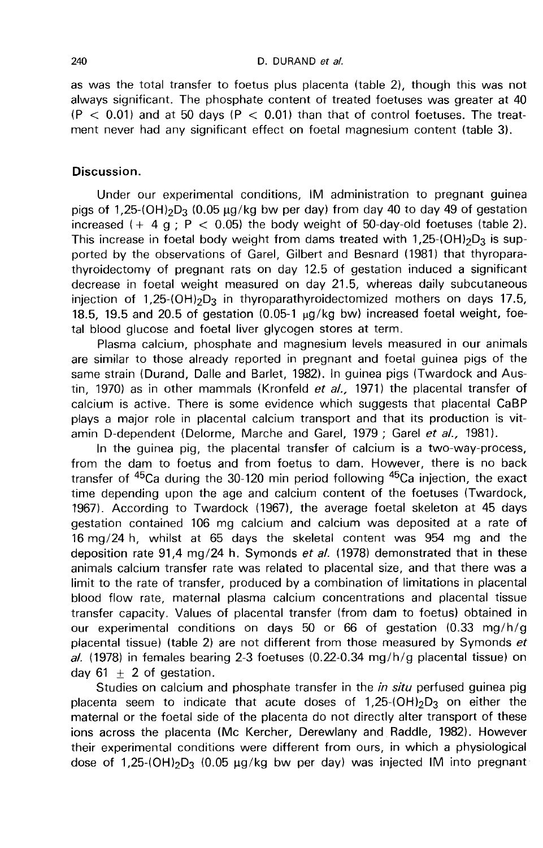as was the total transfer to foetus plus placenta (table 2), though this was not always significant. The phosphate content of treated foetuses was greater at 40  $(P < 0.01)$  and at 50 days (P < 0.01) than that of control foetuses. The treatment never had any significant effect on foetal magnesium content (table 3).

# Discussion.

Under our experimental conditions, IM administration to pregnant guinea pigs of 1,25- $(OH)_2D_3$  (0.05  $\mu$ g/kg bw per day) from day 40 to day 49 of gestation increased  $(+ 4 g : P < 0.05)$  the body weight of 50-day-old foetuses (table 2). **Discussion.**<br>
Under our experimental conditions, IM administration to pregnant guinearly pigs of 1,25-(OH)<sub>2</sub>D<sub>3</sub> (0.05  $\mu$ g/kg bw per day) from day 40 to day 49 of gestation increased (+ 4 g; P < 0.05) the body weight ported by the observations of Garel, Gilbert and Besnard (1981) that thyroparathyroidectomy of pregnant rats on day 12.5 of gestation induced a significant decrease in foetal weight measured on day 21.5, whereas daily subcutaneous<br>injection of 1.25-(OH)<sub>2</sub>D<sub>3</sub> in thyroparathyroidectomized mothers on days 17.5, bigs of 1,25-(OH) 2D3 (0.05  $\mu$ g/kg bw per day) from day 40 to day 45 or gestation<br>increased (+ 4 g ; P < 0.05) the body weight of 50-day-old foetuses (table 2).<br>This increase in foetal body weight from dams treated with 18.5, 19.5 and 20.5 of gestation  $(0.05-1 \mu g/kg$  bw) increased foetal weight, foetal blood glucose and foetal liver glycogen stores at term.

Plasma calcium, phosphate and magnesium levels measured in our animals are similar to those already reported in pregnant and foetal guinea pigs of the same strain (Durand, Dalle and Barlet, 1982). In guinea pigs (Twardock and Austin, 1970) as in other mammals (Kronfeld et  $al.$ , 1971) the placental transfer of calcium is active. There is some evidence which suggests that placental CaBP plays a major role in placental calcium transport and that its production is vitamin D-dependent (Delorme, Marche and Garel, 1979; Garel et al., 1981).

In the guinea pig, the placental transfer of calcium is a two-way-process, from the dam to foetus and from foetus to dam. However, there is no back transfer of  $45$ Ca during the 30-120 min period following  $45$ Ca injection, the exact time depending upon the age and calcium content of the foetuses (Twardock, 1967). According to Twardock (1967), the average foetal skeleton at 45 days gestation contained 106 mg calcium and calcium was deposited at a rate of 16 mg/24 h, whilst at 65 days the skeletal content was 954 mg and the deposition rate 91,4 mg/24 h. Symonds et al. (1978) demonstrated that in these animals calcium transfer rate was related to placental size, and that there was a limit to the rate of transfer, produced by a combination of limitations in placental blood flow rate, maternal plasma calcium concentrations and placental tissue transfer capacity. Values of placental transfer (from dam to foetus) obtained in our experimental conditions on days 50 or 66 of gestation (0.33 mg/h/g placental tissue) (table 2) are not different from those measured by Symonds *et* al. (1978) in females bearing 2-3 foetuses  $(0.22-0.34 \text{ mg/h/g}$  placental tissue) on day 61  $\pm$  2 of gestation. placenta seem to indicate that acute doses of 1,25-(OH) 2D3 on either the maternal or the forest allows of the placental tissue) (table 2) are not different from those measured by Symonds *et* al. (1978) in females bearin

Studies on calcium and phosphate transfer in the *in situ* perfused guinea pig maternal or the foetal side of the placenta do not directly alter transport of these ions across the placenta (Mc Kercher, Derewlany and Raddle, 1982). However their experimental conditions were different from ours, in which a physiological placenta seem to indicate that acute doses of  $1,25-(OH)_{2}D_{3}$  on either the maternal or the foetal side of the placenta do not directly alter transport of these ions across the placenta (Mc Kercher, Derewlany and Raddle,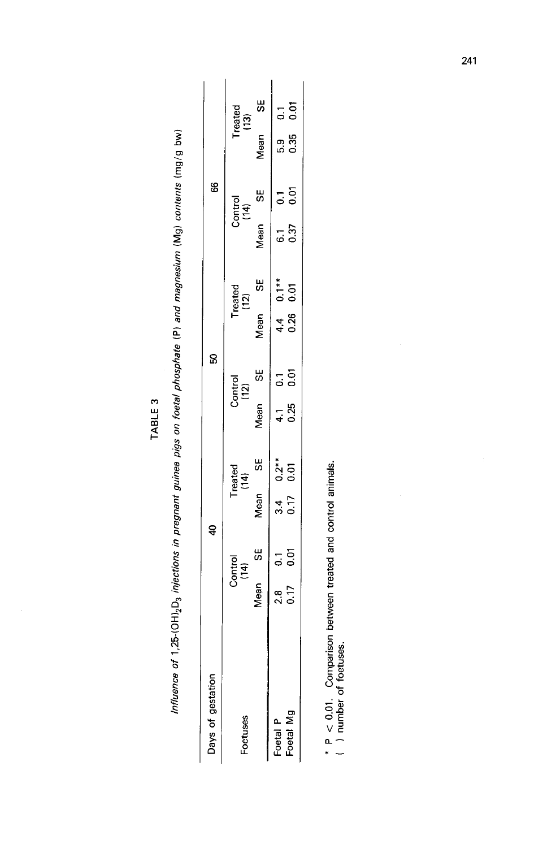TABLE 3

Influence of 1,25-(OH)<sub>2</sub>D<sub>3</sub> injections in pregnant guinea pigs on foetal phosphate (P) and magnesium (Mg) contents (mg/g bw)

| Days of gestation |             |                 | ą               |                                             |                | ន               |                         |                                              |                       | 8                |                            |  |
|-------------------|-------------|-----------------|-----------------|---------------------------------------------|----------------|-----------------|-------------------------|----------------------------------------------|-----------------------|------------------|----------------------------|--|
| oetuses           |             | Control<br>(14) |                 | Treated<br>(14)                             |                | Control<br>(12) |                         | Treated<br>(12)                              |                       | Control<br>(14)  | Treated<br>(13)<br>Mean SE |  |
|                   | Vlean<br>SE |                 | Mean<br>SE      |                                             | Mean SE        |                 | Mean SE                 |                                              | Mean SE               |                  |                            |  |
| $-ceta$           | 2.8<br>0.17 |                 |                 |                                             |                |                 |                         |                                              |                       |                  |                            |  |
| Foetal Mg         |             | - ទី<br>១ ១     | $\frac{34}{17}$ | $\begin{array}{c} * \ * \ 0.01 \end{array}$ | $\frac{1}{10}$ | ូ ទី<br>ទី      | 4 पें<br>4 पें<br>4 पें | $\begin{matrix} * & * \\ 0 & 0 \end{matrix}$ | <sub>ច 3</sub><br>០37 | $\frac{1}{2}$ or | 5.35<br>5.95               |  |
|                   |             |                 |                 |                                             |                |                 |                         |                                              |                       |                  |                            |  |

\*  $P < 0.01$ . Comparison between treated and control animals.<br>( ) number of foetuses.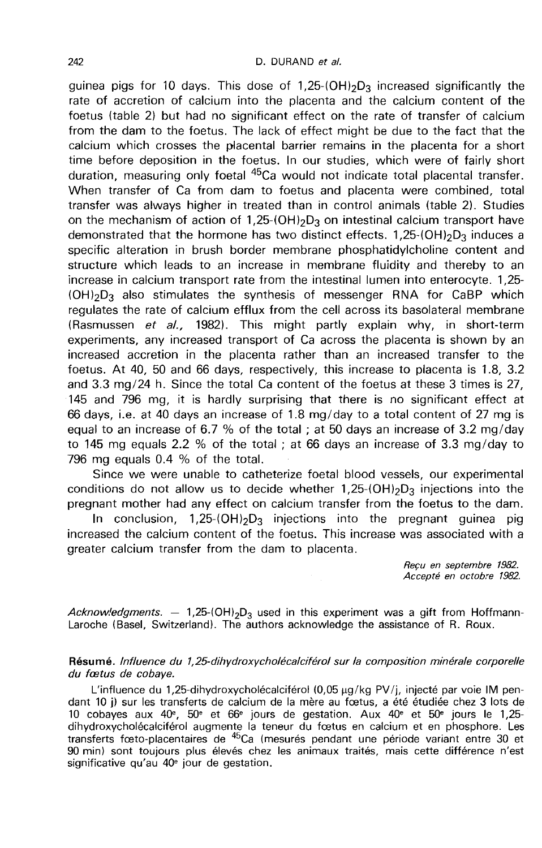242<br>guinea pigs for 10 days. This dose of 1,25-(OH)<sub>2</sub>D<sub>3</sub> increased significantly the rate of accretion of calcium into the placenta and the calcium content of the foetus (table 2) but had no significant effect on the rate of transfer of calcium from the dam to the foetus. The lack of effect might be due to the fact that the calcium which crosses the placental barrier remains in the placenta for a short time before deposition in the foetus. In our studies, which were of fairly short duration, measuring only foetal 45Ca would not indicate total placental transfer. When transfer of Ca from dam to foetus and placenta were combined, total transfer was always higher in treated than in control animals (table 2). Studies on the mechanism of action of  $1.25-(OH)_{2}$  on intestinal calcium transport have From the dark to the loetds. The lack of effect hight be due to the lact that the calcium which crosses the placental barrier remains in the placenta for a short time before deposition in the foetus. In our studies, which denotially which closses the placental bannet remains in the placental for a short<br>time before deposition in the foetus. In our studies, which were of fairly short<br>duration, measuring only foetal  $^{45}Ca$  would not indicat specific alteration in brush border membrane phosphatidylcholine content and structure which leads to an increase in membrane fluidity and thereby to an increase in calcium transport rate from the intestinal lumen into enterocyte. 1,25- $(OH)_2D_3$  also stimulates the synthesis of messenger RNA for CaBP which specific alteration in brush border membrane phosphatidylcholine content and<br>structure which leads to an increase in membrane fluidity and thereby to an<br>increase in calcium transport rate from the intestinal lumen into ent regulates the rate of calcium efflux from the cell across its basolateral membrane (Rasmussen et al., 1982). This might partly explain why, in short-term experiments, any increased transport of Ca across the placenta is shown by an increased accretion in the placenta rather than an increased transfer to the foetus. At 40, 50 and 66 days, respectively, this increase to placenta is 1.8, 3.2 and 3.3 mg/24 h. Since the total Ca content of the foetus at these 3 times is 27, 145 and 796 mg, it is hardly surprising that there is no significant effect at 66 days, i.e. at 40 days an increase of 1.8 mg/day to a total content of 27 mg is equal to an increase of 6.7 % of the total ; at 50 days an increase of 3.2 mg/day to 145 mg equals 2.2 % of the total ; at 66 days an increase of 3.3 mg/day to 796 mg equals 0.4 % of the total. conditions do not allow us to decide whether 1,25-(OH) 2D3 injections in conclusion in the conditions of  $12\pi$  and  $2.2\%$  of the total ; at 66 days an increase of 3.2 mg/day to 145 mg equals 2.2 % of the total ; at 66 d

Since we were unable to catheterize foetal blood vessels, our experimental conditions do not allow us to decide whether  $1.25-(OH)_{2}D_{3}$  injections into the pregnant mother had any effect on calcium transfer from the foetus to the dam. In to all increase of 0.7 % of the total; at 30 days an increase of 3.2 mg/day to 45 mg equals 0.4 % of the total; at 66 days an increase of 3.3 mg/day to mg equals 0.4 % of the total.<br>Since we were unable to catheterize

increased the calcium content of the foetus. This increase was associated with a greater calcium transfer from the dam to placenta.

> Recu en septembre 1982. Accepté en octobre 1982.

Acknowledgments.  $- 1,25-(OH)_2D_3$  used in this experiment was a gift from Hoffmann-Laroche (Basel, Switzerland). The authors acknowledge the assistance of R. Roux.

#### Résumé. Influence du 1,25-dihydroxycholécalciférol sur la composition minérale corporelle du fœtus de cobaye.

L'influence du 1,25-dihydroxycholécalciférol (0,05 µg/kg PV/j, injecté par voie IM pendant 10 j) sur les transferts de calcium de la mère au foetus, a été étudiée chez 3 lots de 10 cobayes aux 40e, 50e et 66e jours de gestation. Aux 40e et 50e jours le 1,25 dihydroxycholécalciférol augmente la teneur du foetus en calcium et en phosphore. Les transferts foeto-placentaires de 45Ca (mesurés pendant une période variant entre 30 et 90 min) sont toujours plus élevés chez les animaux traités, mais cette différence n'est significative qu'au 40<sup>e</sup> jour de gestation.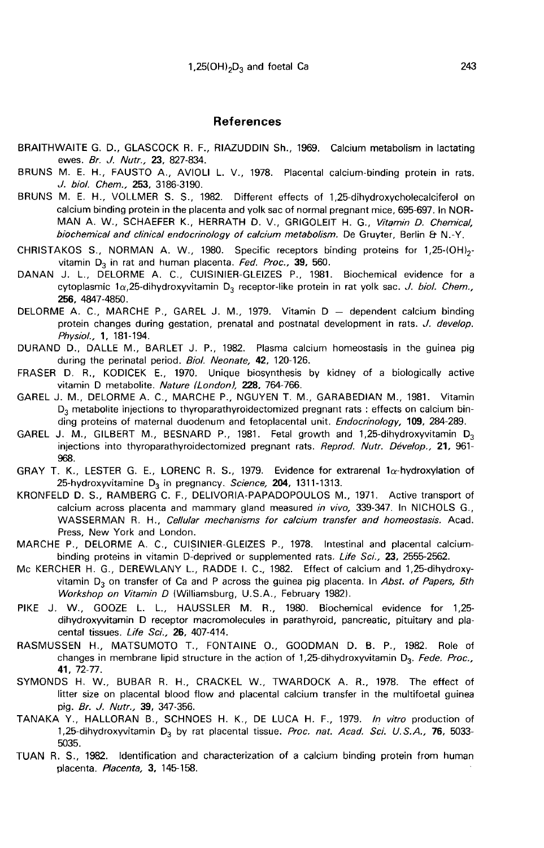#### References

- BRAITHWAITE G. D., GLASCOCK R. F., RIAZUDDIN Sh., 1969. Calcium metabolism in lactating ewes. Br. J. Nutr., 23, 827-834.
- BRUNS M. E. H., FAUSTO A., AVIOLI L. V., 1978. Placental calcium-binding protein in rats. J, biol. Chem., 253, 3186-3190.
- BRUNS M. E. H., VOLLMER S. S., 1982. Different effects of 1,25-dihydroxycholecalciferol on calcium binding protein in the placenta and yolk sac of normal pregnant mice, 695-697. In NOR-MAN A. W., SCHAEFER K., HERRATH D. V., GRIGOLEIT H. G., *Vitamin D. Chemical*, biochemical and clinical endocrinology of calcium metabolism. De Gruyter, Berlin & N.-Y. 1,25-dihydroxycholecalciferol on<br>
pregnant mice, 695-697. In NOR-<br>
EIT H. G., *Vitamin D. Chemical,*<br>
sm. De Gruyter, Berlin & N.-Y.<br>
binding proteins for 1,25-(OH)<sub>2</sub>-<br>
.
- CHRISTAKOS S., NORMAN A. W., 1980. Specific receptors vitamin  $D_3$  in rat and human placenta. Fed. Proc., 39, 560.
- DANAN J. L., DELORME A. C., CUISINIER-GLEIZES P., 1981. Biochemical evidence for a cytoplasmic  $1\alpha$ ,25-dihydroxyvitamin D<sub>3</sub> receptor-like protein in rat yolk sac. J. biol. Chem., 256, 4847-4850.
- DELORME A. C., MARCHE P., GAREL J. M., 1979. Vitamin D dependent calcium binding protein changes during gestation, prenatal and postnatal development in rats. J. develop. Physiol., 1, 181-194.
- DURAND D., DALLE M., BARLET J. P., 1982. Plasma calcium homeostasis in the guinea pig during the perinatal period. Biol. Neonate, 42, 120-126.
- FRASER D. R., KODICEK E., 1970. Unique biosynthesis by kidney of a biologically active vitamin D metabolite. Nature (London), 228, 764-766.
- GAREL J. M., DELORME A. C., MARCHE P., NGUYEN T. M., GARABEDIAN M., 1981. Vitamin  $D<sub>3</sub>$  metabolite injections to thyroparathyroidectomized pregnant rats : effects on calcium binding proteins of maternal duodenum and fetoplacental unit. Endocrinology, 109, 284-289.
- GAREL J. M., GILBERT M., BESNARD P., 1981. Fetal growth and 1,25-dihydroxyvitamin  $D_3$ injections into thyroparathyroidectomized pregnant rats. Reprod. Nutr. Dévelop., 21, 961-968.
- GRAY T. K., LESTER G. E., LORENC R. S., 1979. Evidence for extrarenal  $1\alpha$ -hydroxylation of 25-hydroxyvitamine  $D_3$  in pregnancy. Science, 204, 1311-1313.
- KRONFELD D. S., RAMBERG C. F., DELIVORIA-PAPADOPOULOS M., 1971. Active transport of calcium across placenta and mammary gland measured in vivo, 339-347. In NICHOLS G., WASSERMAN R. H., Cellular mechanisms for calcium transfer and homeostasis. Acad. Press, New York and London.
- MARCHE P., DELORME A. C., CUISINIER-GLEIZES P., 1978. Intestinal and placental calciumbinding proteins in vitamin D-deprived or supplemented rats. Life Sci., 23, 2555-2562.
- Mc KERCHER H. G., DEREWLANY L., RADDE I. C-, 1982. Effect of calcium and 1,25-dihydroxyvitamin  $D_3$  on transfer of Ca and P across the guinea pig placenta. In Abst. of Papers, 5th Workshop on Vitamin D (Williamsburg, U.S.A., February 1982).
- PIKE J. W., GOOZE L. L., HAUSSLER M. R., 1980. Biochemical evidence for 1,25 dihydroxyvitamin D receptor macromolecules in parathyroid, pancreatic, pituitary and placental tissues. Life Sci., 26, 407-414.
- RASMUSSEN H., MATSUMOTO T., FONTAINE 0., GOODMAN D. B. P., 1982. Role of changes in membrane lipid structure in the action of 1,25-dihydroxyvitamin  $D_3$ . Fede. Proc., 41, 72-77.
- SYMONDS H. W., BUBAR R. H., CRACKEL W., TWARDOCK A. R., 1978. The effect of litter size on placental blood flow and placental calcium transfer in the multifoetal guinea pig. Br. J. Nutr., 39, 347-356.
- TANAKA Y., HALLORAN B., SCHNOES H. K., DE LUCA H. F., 1979. In vitro production of 1,25-dihydroxyvitamin D<sub>3</sub> by rat placental tissue. Proc. nat. Acad. Sci. U.S.A., 76, 5033-5035.
- TUAN R. S., 1982. Identification and characterization of a calcium binding protein from human placenta. Placenta, 3, 145-158.